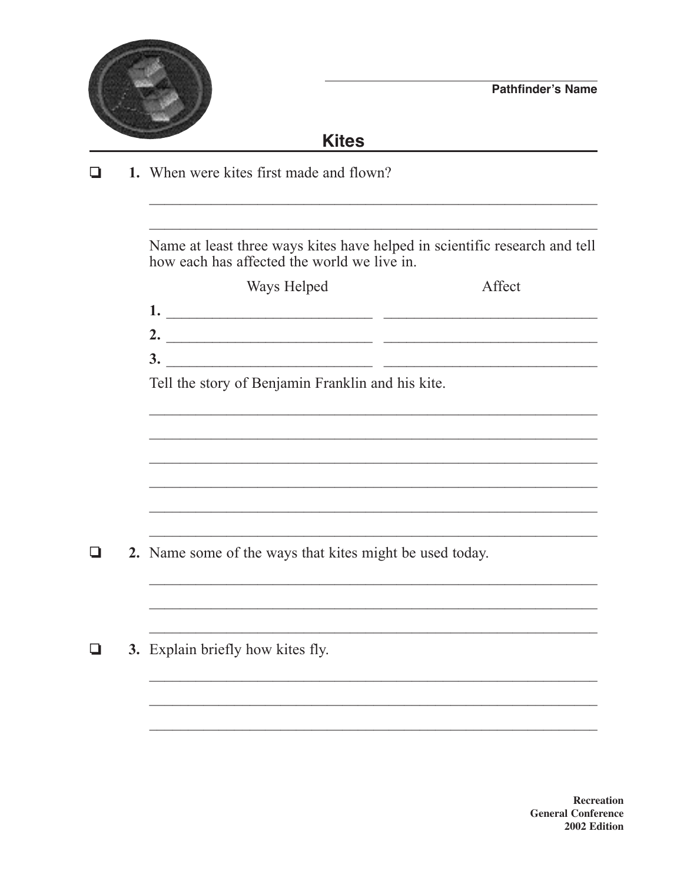

## **Kites**

1. When were kites first made and flown?  $\Box$ 

> Name at least three ways kites have helped in scientific research and tell how each has affected the world we live in

|    | Ways Helped                                       | Affect |
|----|---------------------------------------------------|--------|
|    |                                                   |        |
| 2. |                                                   |        |
| 3. |                                                   |        |
|    | Tell the story of Benjamin Franklin and his kite. |        |

<u> 1989 - Johann John Stone, markin sanadi a shekara 1980 - Ang kasarang masa na sanadi a sa sanadi a sa sanadi</u>

<u> 1989 - Johann Stoff, Amerikaansk politiker (d. 1989)</u>

<u> 1989 - Johann John Stein, mars an deus Amerikaansk kommunister (</u>

 $\Box$ 2. Name some of the ways that kites might be used today.

3. Explain briefly how kites fly.  $\Box$ 

> **Recreation General Conference** 2002 Edition